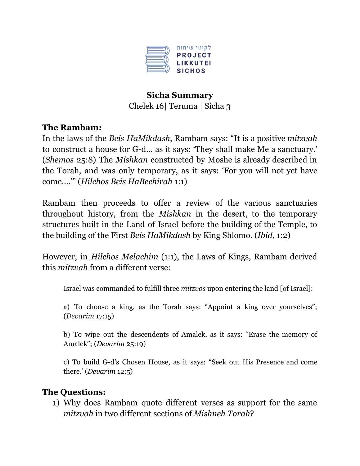

# **Sicha Summary** Chelek 16| Teruma | Sicha 3

#### **The Rambam:**

In the laws of the *Beis HaMikdash*, Rambam says: "It is a positive *mitzvah* to construct a house for G-d… as it says: 'They shall make Me a sanctuary.' (*Shemos* 25:8) The *Mishkan* constructed by Moshe is already described in the Torah, and was only temporary, as it says: 'For you will not yet have come….'" (*Hilchos Beis HaBechirah* 1:1)

Rambam then proceeds to offer a review of the various sanctuaries throughout history, from the *Mishkan* in the desert, to the temporary structures built in the Land of Israel before the building of the Temple, to the building of the First *Beis HaMikdash* by King Shlomo. (*Ibid*, 1:2)

However, in *Hilchos Melachim* (1:1), the Laws of Kings, Rambam derived this *mitzvah* from a different verse:

Israel was commanded to fulfill three *mitzvos* upon entering the land [of Israel]:

a) To choose a king, as the Torah says: "Appoint a king over yourselves"; (*Devarim* 17:15)

b) To wipe out the descendents of Amalek, as it says: "Erase the memory of Amalek"; (*Devarim* 25:19)

c) To build G-d's Chosen House, as it says: "Seek out His Presence and come there.' (*Devarim* 12:5)

#### **The Questions:**

1) Why does Rambam quote different verses as support for the same *mitzvah* in two different sections of *Mishneh Torah*?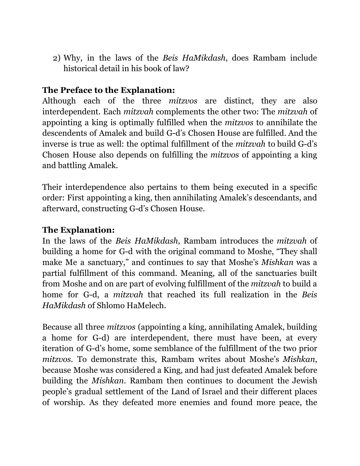2) Why, in the laws of the *Beis HaMikdash*, does Rambam include historical detail in his book of law?

# **The Preface to the Explanation:**

Although each of the three *mitzvos* are distinct, they are also interdependent. Each *mitzvah* complements the other two: The *mitzvah* of appointing a king is optimally fulfilled when the *mitzvos* to annihilate the descendents of Amalek and build G-d's Chosen House are fulfilled. And the inverse is true as well: the optimal fulfillment of the *mitzvah* to build G-d's Chosen House also depends on fulfilling the *mitzvos* of appointing a king and battling Amalek.

Their interdependence also pertains to them being executed in a specific order: First appointing a king, then annihilating Amalek's descendants, and afterward, constructing G-d's Chosen House.

### **The Explanation:**

In the laws of the *Beis HaMikdash*, Rambam introduces the *mitzvah* of building a home for G-d with the original command to Moshe, "They shall make Me a sanctuary," and continues to say that Moshe's *Mishkan* was a partial fulfillment of this command. Meaning, all of the sanctuaries built from Moshe and on are part of evolving fulfillment of the *mitzvah* to build a home for G-d, a *mitzvah* that reached its full realization in the *Beis HaMikdash* of Shlomo HaMelech.

Because all three *mitzvos* (appointing a king, annihilating Amalek, building a home for G-d) are interdependent, there must have been, at every iteration of G-d's home, some semblance of the fulfillment of the two prior *mitzvos*. To demonstrate this, Rambam writes about Moshe's *Mishkan*, because Moshe was considered a King, and had just defeated Amalek before building the *Mishkan*. Rambam then continues to document the Jewish people's gradual settlement of the Land of Israel and their different places of worship. As they defeated more enemies and found more peace, the